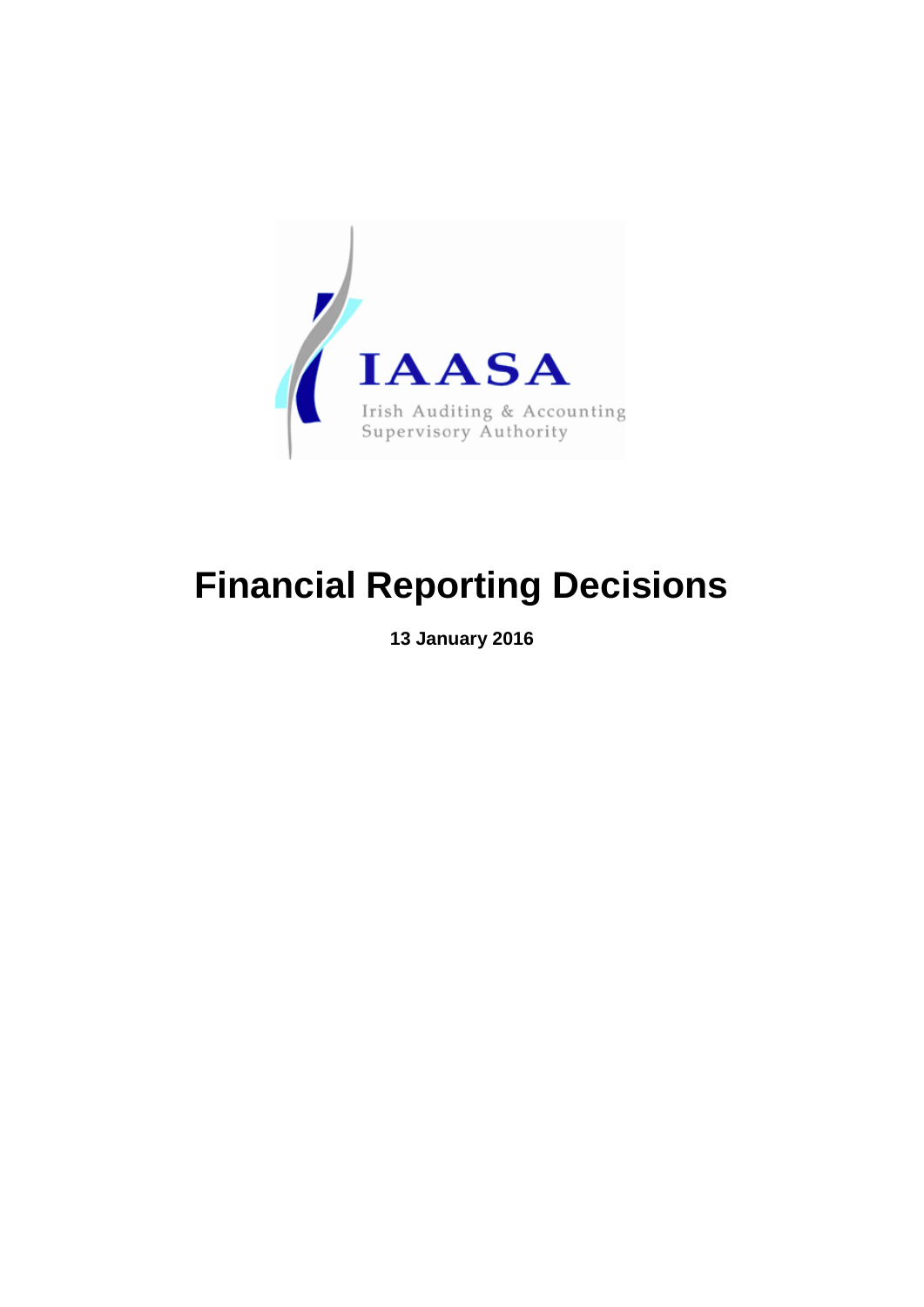

# **Financial Reporting Decisions**

**13 January 2016**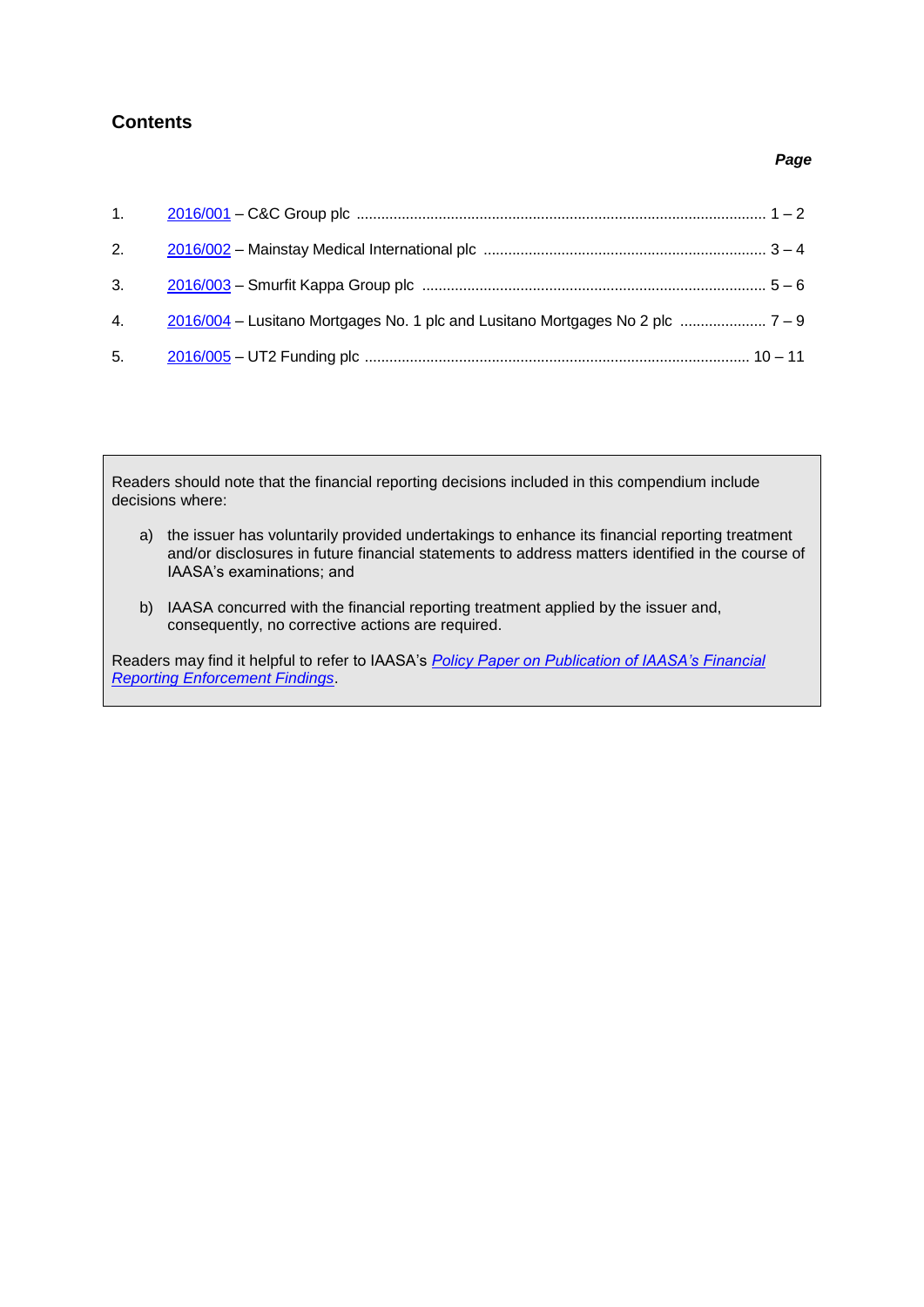## <span id="page-1-0"></span>**Contents**

| 2. |  |
|----|--|
|    |  |
|    |  |
|    |  |

Readers should note that the financial reporting decisions included in this compendium include decisions where:

- a) the issuer has voluntarily provided undertakings to enhance its financial reporting treatment and/or disclosures in future financial statements to address matters identified in the course of IAASA's examinations; and
- b) IAASA concurred with the financial reporting treatment applied by the issuer and, consequently, no corrective actions are required.

Readers may find it helpful to refer to IAASA's *[Policy Paper on Publication of IAASA's Financial](http://www.iaasa.ie/getmedia/815203c6-a917-4ee6-985e-036508400053/IAASA_FRSU_Publications_July2015.pdf)  [Reporting Enforcement Findings](http://www.iaasa.ie/getmedia/815203c6-a917-4ee6-985e-036508400053/IAASA_FRSU_Publications_July2015.pdf)*.

#### *Page*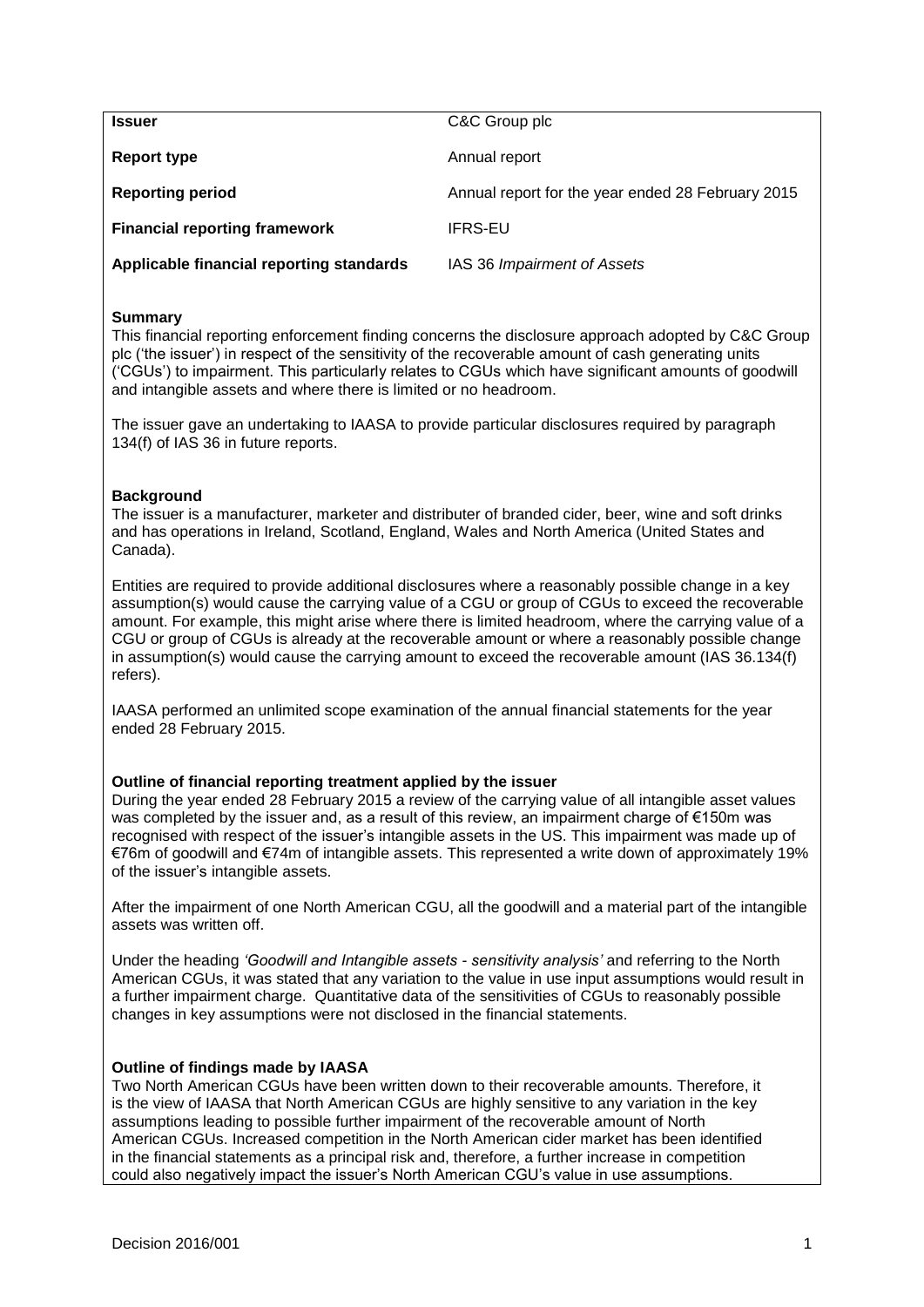<span id="page-2-0"></span>

| <b>Issuer</b>                            | C&C Group plc                                     |
|------------------------------------------|---------------------------------------------------|
| Report type                              | Annual report                                     |
| <b>Reporting period</b>                  | Annual report for the year ended 28 February 2015 |
| <b>Financial reporting framework</b>     | <b>IFRS-EU</b>                                    |
| Applicable financial reporting standards | IAS 36 Impairment of Assets                       |

This financial reporting enforcement finding concerns the disclosure approach adopted by C&C Group plc ('the issuer') in respect of the sensitivity of the recoverable amount of cash generating units ('CGUs') to impairment. This particularly relates to CGUs which have significant amounts of goodwill and intangible assets and where there is limited or no headroom.

The issuer gave an undertaking to IAASA to provide particular disclosures required by paragraph 134(f) of IAS 36 in future reports.

#### **Background**

The issuer is a manufacturer, marketer and distributer of branded cider, beer, wine and soft drinks and has operations in Ireland, Scotland, England, Wales and North America (United States and Canada).

Entities are required to provide additional disclosures where a reasonably possible change in a key assumption(s) would cause the carrying value of a CGU or group of CGUs to exceed the recoverable amount. For example, this might arise where there is limited headroom, where the carrying value of a CGU or group of CGUs is already at the recoverable amount or where a reasonably possible change in assumption(s) would cause the carrying amount to exceed the recoverable amount (IAS 36.134(f) refers).

IAASA performed an unlimited scope examination of the annual financial statements for the year ended 28 February 2015.

#### **Outline of financial reporting treatment applied by the issuer**

During the year ended 28 February 2015 a review of the carrying value of all intangible asset values was completed by the issuer and, as a result of this review, an impairment charge of €150m was recognised with respect of the issuer's intangible assets in the US. This impairment was made up of €76m of goodwill and €74m of intangible assets. This represented a write down of approximately 19% of the issuer's intangible assets.

After the impairment of one North American CGU, all the goodwill and a material part of the intangible assets was written off.

Under the heading *'Goodwill and Intangible assets - sensitivity analysis'* and referring to the North American CGUs, it was stated that any variation to the value in use input assumptions would result in a further impairment charge. Quantitative data of the sensitivities of CGUs to reasonably possible changes in key assumptions were not disclosed in the financial statements.

#### **Outline of findings made by IAASA**

Two North American CGUs have been written down to their recoverable amounts. Therefore, it is the view of IAASA that North American CGUs are highly sensitive to any variation in the key assumptions leading to possible further impairment of the recoverable amount of North American CGUs. Increased competition in the North American cider market has been identified in the financial statements as a principal risk and, therefore, a further increase in competition could also negatively impact the issuer's North American CGU's value in use assumptions.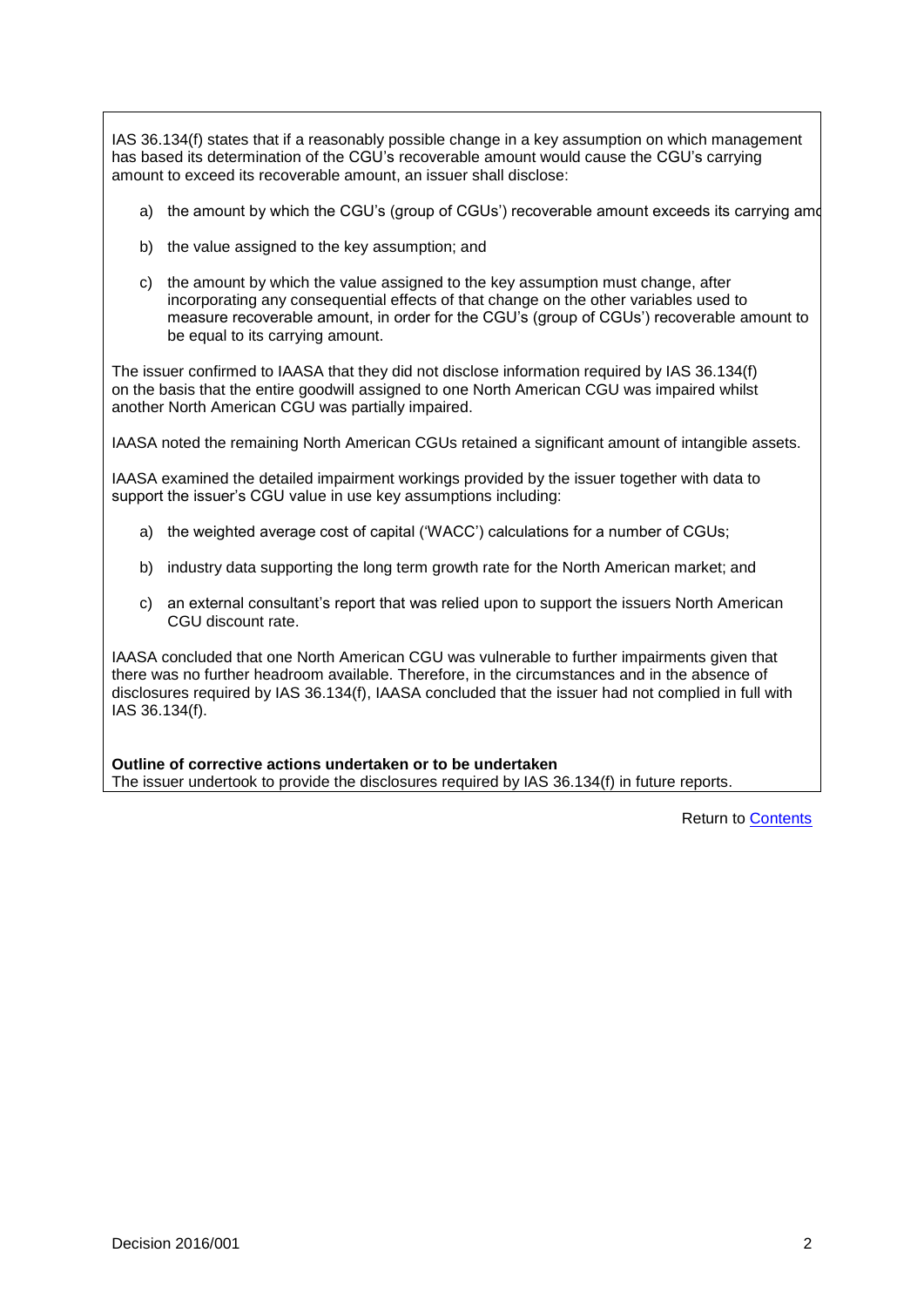IAS 36.134(f) states that if a reasonably possible change in a key assumption on which management has based its determination of the CGU's recoverable amount would cause the CGU's carrying amount to exceed its recoverable amount, an issuer shall disclose:

- a) the amount by which the CGU's (group of CGUs') recoverable amount exceeds its carrying amount
- b) the value assigned to the key assumption; and
- c) the amount by which the value assigned to the key assumption must change, after incorporating any consequential effects of that change on the other variables used to measure recoverable amount, in order for the CGU's (group of CGUs') recoverable amount to be equal to its carrying amount.

The issuer confirmed to IAASA that they did not disclose information required by IAS 36.134(f) on the basis that the entire goodwill assigned to one North American CGU was impaired whilst another North American CGU was partially impaired.

IAASA noted the remaining North American CGUs retained a significant amount of intangible assets.

IAASA examined the detailed impairment workings provided by the issuer together with data to support the issuer's CGU value in use key assumptions including:

- a) the weighted average cost of capital ('WACC') calculations for a number of CGUs;
- b) industry data supporting the long term growth rate for the North American market; and
- c) an external consultant's report that was relied upon to support the issuers North American CGU discount rate.

IAASA concluded that one North American CGU was vulnerable to further impairments given that there was no further headroom available. Therefore, in the circumstances and in the absence of disclosures required by IAS 36.134(f), IAASA concluded that the issuer had not complied in full with IAS 36.134(f).

**Outline of corrective actions undertaken or to be undertaken** The issuer undertook to provide the disclosures required by IAS 36.134(f) in future reports.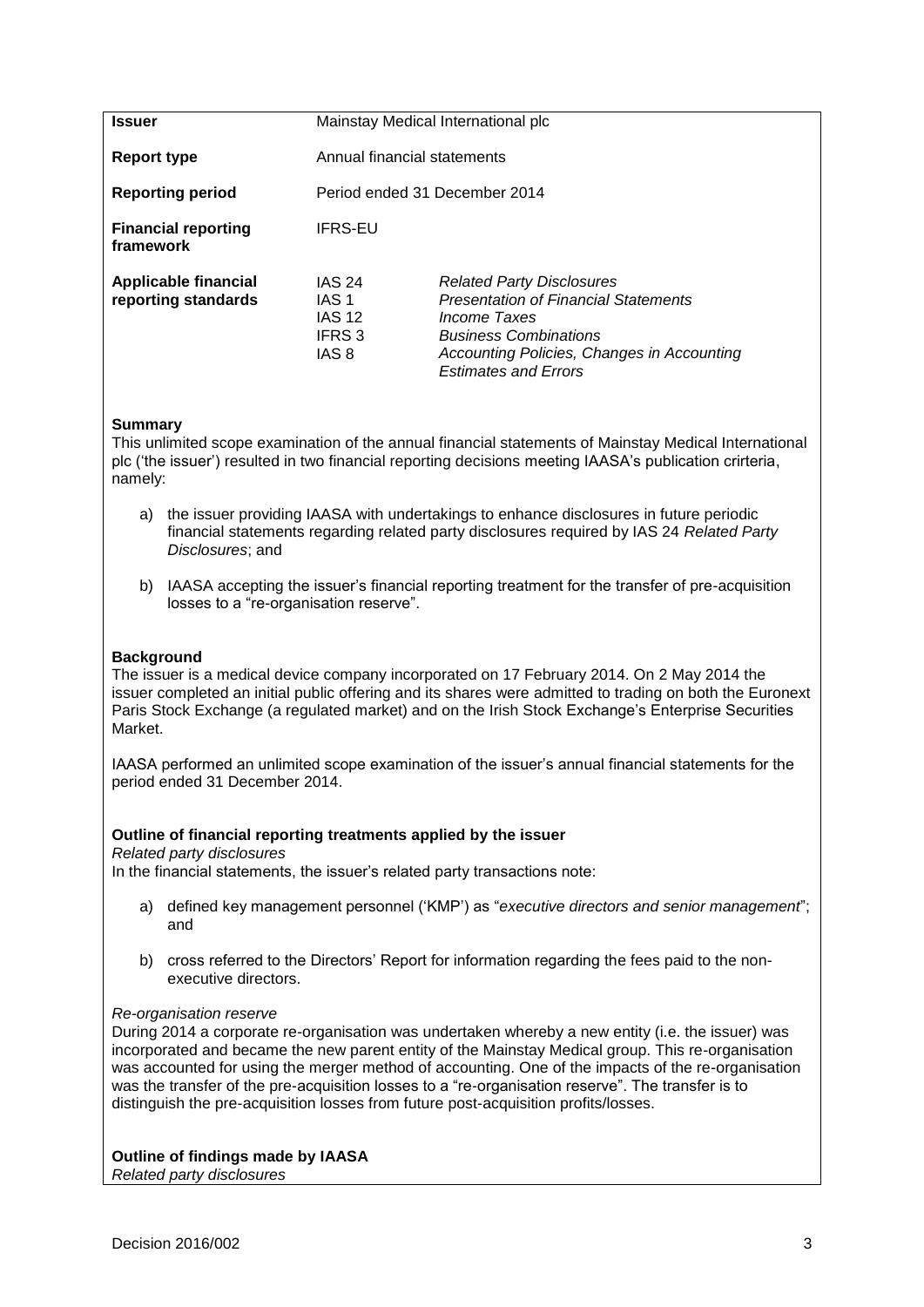<span id="page-4-0"></span>

| <b>Issuer</b>                                      | Mainstay Medical International plc                         |                                                                                                                                                                                                                     |  |
|----------------------------------------------------|------------------------------------------------------------|---------------------------------------------------------------------------------------------------------------------------------------------------------------------------------------------------------------------|--|
| Report type                                        | Annual financial statements                                |                                                                                                                                                                                                                     |  |
| <b>Reporting period</b>                            | Period ended 31 December 2014                              |                                                                                                                                                                                                                     |  |
| <b>Financial reporting</b><br>framework            | <b>IFRS-EU</b>                                             |                                                                                                                                                                                                                     |  |
| <b>Applicable financial</b><br>reporting standards | <b>IAS 24</b><br>IAS 1<br><b>IAS 12</b><br>IFRS 3<br>IAS 8 | <b>Related Party Disclosures</b><br><b>Presentation of Financial Statements</b><br><i>Income Taxes</i><br><b>Business Combinations</b><br>Accounting Policies, Changes in Accounting<br><b>Estimates and Errors</b> |  |

This unlimited scope examination of the annual financial statements of Mainstay Medical International plc ('the issuer') resulted in two financial reporting decisions meeting IAASA's publication crirteria, namely:

- a) the issuer providing IAASA with undertakings to enhance disclosures in future periodic financial statements regarding related party disclosures required by IAS 24 *Related Party Disclosures*; and
- b) IAASA accepting the issuer's financial reporting treatment for the transfer of pre-acquisition losses to a "re-organisation reserve".

## **Background**

The issuer is a medical device company incorporated on 17 February 2014. On 2 May 2014 the issuer completed an initial public offering and its shares were admitted to trading on both the Euronext Paris Stock Exchange (a regulated market) and on the Irish Stock Exchange's Enterprise Securities Market.

IAASA performed an unlimited scope examination of the issuer's annual financial statements for the period ended 31 December 2014.

## **Outline of financial reporting treatments applied by the issuer**

*Related party disclosures*

In the financial statements, the issuer's related party transactions note:

- a) defined key management personnel ('KMP') as "*executive directors and senior management*"; and
- b) cross referred to the Directors' Report for information regarding the fees paid to the nonexecutive directors.

#### *Re-organisation reserve*

During 2014 a corporate re-organisation was undertaken whereby a new entity (i.e. the issuer) was incorporated and became the new parent entity of the Mainstay Medical group. This re-organisation was accounted for using the merger method of accounting. One of the impacts of the re-organisation was the transfer of the pre-acquisition losses to a "re-organisation reserve". The transfer is to distinguish the pre-acquisition losses from future post-acquisition profits/losses.

**Outline of findings made by IAASA**

*Related party disclosures*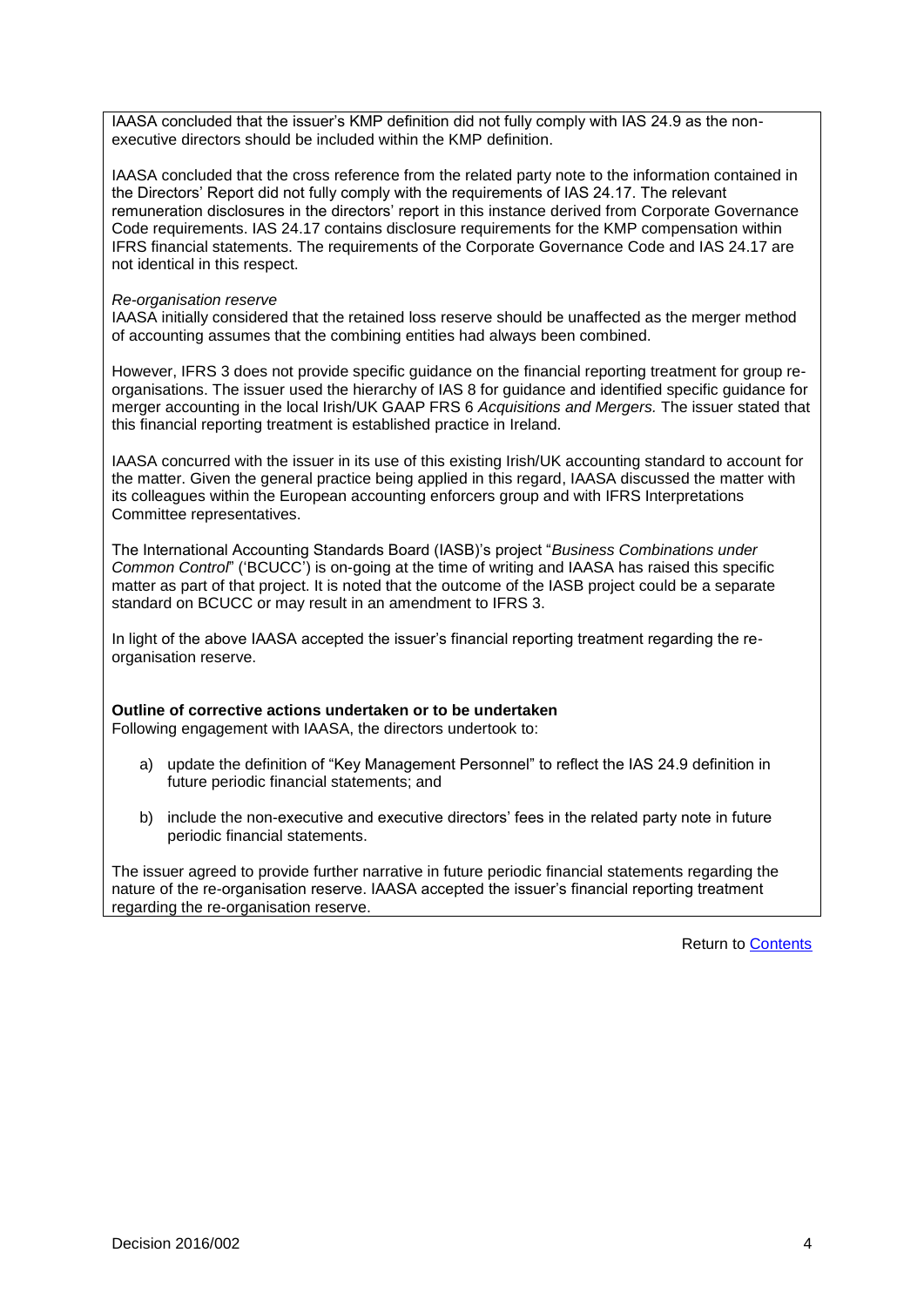IAASA concluded that the issuer's KMP definition did not fully comply with IAS 24.9 as the nonexecutive directors should be included within the KMP definition.

IAASA concluded that the cross reference from the related party note to the information contained in the Directors' Report did not fully comply with the requirements of IAS 24.17. The relevant remuneration disclosures in the directors' report in this instance derived from Corporate Governance Code requirements. IAS 24.17 contains disclosure requirements for the KMP compensation within IFRS financial statements. The requirements of the Corporate Governance Code and IAS 24.17 are not identical in this respect.

## *Re-organisation reserve*

IAASA initially considered that the retained loss reserve should be unaffected as the merger method of accounting assumes that the combining entities had always been combined.

However, IFRS 3 does not provide specific guidance on the financial reporting treatment for group reorganisations. The issuer used the hierarchy of IAS 8 for guidance and identified specific guidance for merger accounting in the local Irish/UK GAAP FRS 6 *Acquisitions and Mergers.* The issuer stated that this financial reporting treatment is established practice in Ireland.

IAASA concurred with the issuer in its use of this existing Irish/UK accounting standard to account for the matter. Given the general practice being applied in this regard, IAASA discussed the matter with its colleagues within the European accounting enforcers group and with IFRS Interpretations Committee representatives.

The International Accounting Standards Board (IASB)'s project "*Business Combinations under Common Control*" ('BCUCC') is on-going at the time of writing and IAASA has raised this specific matter as part of that project. It is noted that the outcome of the IASB project could be a separate standard on BCUCC or may result in an amendment to IFRS 3.

In light of the above IAASA accepted the issuer's financial reporting treatment regarding the reorganisation reserve.

## **Outline of corrective actions undertaken or to be undertaken**

Following engagement with IAASA, the directors undertook to:

- a) update the definition of "Key Management Personnel" to reflect the IAS 24.9 definition in future periodic financial statements; and
- b) include the non-executive and executive directors' fees in the related party note in future periodic financial statements.

The issuer agreed to provide further narrative in future periodic financial statements regarding the nature of the re-organisation reserve. IAASA accepted the issuer's financial reporting treatment regarding the re-organisation reserve.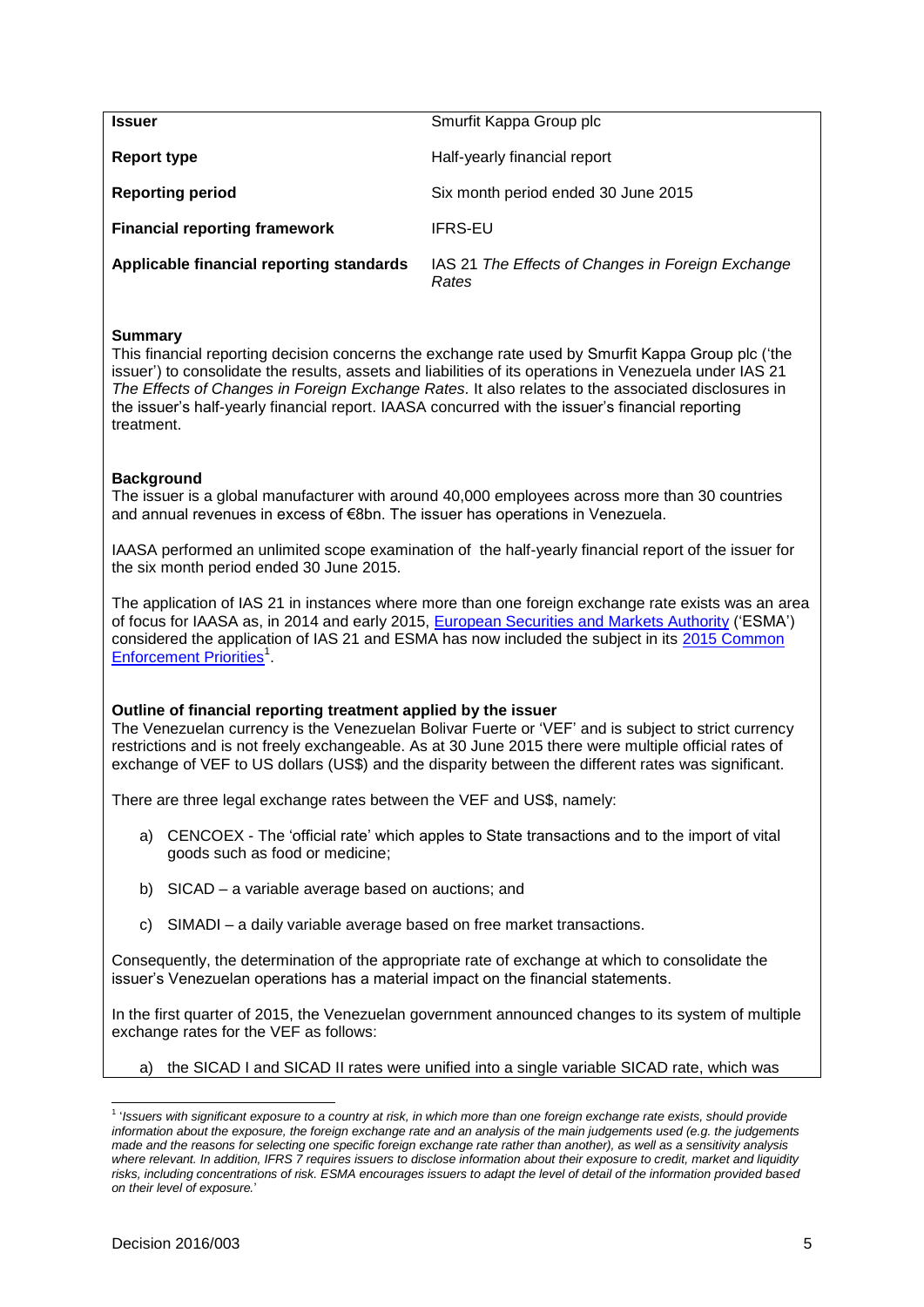<span id="page-6-0"></span>

| <b>Issuer</b>                            | Smurfit Kappa Group plc                                    |
|------------------------------------------|------------------------------------------------------------|
| Report type                              | Half-yearly financial report                               |
| <b>Reporting period</b>                  | Six month period ended 30 June 2015                        |
| <b>Financial reporting framework</b>     | <b>IFRS-EU</b>                                             |
| Applicable financial reporting standards | IAS 21 The Effects of Changes in Foreign Exchange<br>Rates |

This financial reporting decision concerns the exchange rate used by Smurfit Kappa Group plc ('the issuer') to consolidate the results, assets and liabilities of its operations in Venezuela under IAS 21 *The Effects of Changes in Foreign Exchange Rates.* It also relates to the associated disclosures in the issuer's half-yearly financial report. IAASA concurred with the issuer's financial reporting treatment.

## **Background**

The issuer is a global manufacturer with around 40,000 employees across more than 30 countries and annual revenues in excess of €8bn. The issuer has operations in Venezuela.

IAASA performed an unlimited scope examination of the half-yearly financial report of the issuer for the six month period ended 30 June 2015.

The application of IAS 21 in instances where more than one foreign exchange rate exists was an area of focus for IAASA as, in 2014 and early 2015, [European Securities and Markets Authority](http://www.esma.europa.eu/) ('ESMA') considered the application of IAS 21 and ESMA has now included the subject in its [2015 Common](http://www.esma.europa.eu/system/files/2015-1608_esma_public_statement_-_ecep_2015.pdf)  [Enforcement Priorities](http://www.esma.europa.eu/system/files/2015-1608_esma_public_statement_-_ecep_2015.pdf)<sup>1</sup>

## **Outline of financial reporting treatment applied by the issuer**

The Venezuelan currency is the Venezuelan Bolivar Fuerte or 'VEF' and is subject to strict currency restrictions and is not freely exchangeable. As at 30 June 2015 there were multiple official rates of exchange of VEF to US dollars (US\$) and the disparity between the different rates was significant.

There are three legal exchange rates between the VEF and US\$, namely:

- a) CENCOEX The 'official rate' which apples to State transactions and to the import of vital goods such as food or medicine;
- b) SICAD a variable average based on auctions; and
- c) SIMADI a daily variable average based on free market transactions.

Consequently, the determination of the appropriate rate of exchange at which to consolidate the issuer's Venezuelan operations has a material impact on the financial statements.

In the first quarter of 2015, the Venezuelan government announced changes to its system of multiple exchange rates for the VEF as follows:

a) the SICAD I and SICAD II rates were unified into a single variable SICAD rate, which was

-

<sup>1</sup> '*Issuers with significant exposure to a country at risk, in which more than one foreign exchange rate exists, should provide information about the exposure, the foreign exchange rate and an analysis of the main judgements used (e.g. the judgements made and the reasons for selecting one specific foreign exchange rate rather than another), as well as a sensitivity analysis where relevant. In addition, IFRS 7 requires issuers to disclose information about their exposure to credit, market and liquidity risks, including concentrations of risk. ESMA encourages issuers to adapt the level of detail of the information provided based on their level of exposure.*'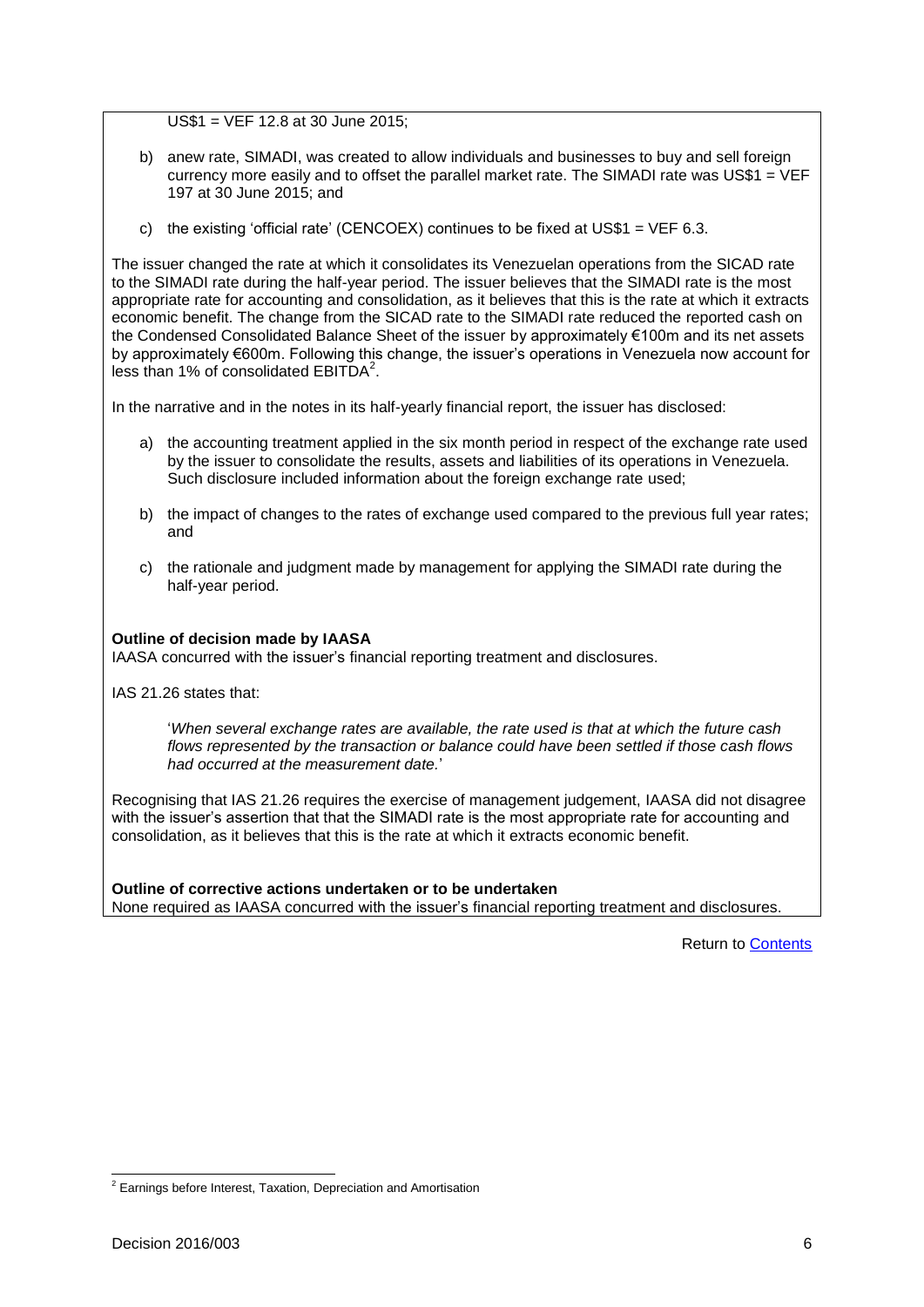US\$1 = VEF 12.8 at 30 June 2015;

- b) anew rate, SIMADI, was created to allow individuals and businesses to buy and sell foreign currency more easily and to offset the parallel market rate. The SIMADI rate was US\$1 = VEF 197 at 30 June 2015; and
- c) the existing 'official rate' (CENCOEX) continues to be fixed at US\$1 = VEF 6.3.

The issuer changed the rate at which it consolidates its Venezuelan operations from the SICAD rate to the SIMADI rate during the half-year period. The issuer believes that the SIMADI rate is the most appropriate rate for accounting and consolidation, as it believes that this is the rate at which it extracts economic benefit. The change from the SICAD rate to the SIMADI rate reduced the reported cash on the Condensed Consolidated Balance Sheet of the issuer by approximately €100m and its net assets by approximately €600m. Following this change, the issuer's operations in Venezuela now account for less than 1% of consolidated  $EBITDA<sup>2</sup>$ .

In the narrative and in the notes in its half-yearly financial report, the issuer has disclosed:

- a) the accounting treatment applied in the six month period in respect of the exchange rate used by the issuer to consolidate the results, assets and liabilities of its operations in Venezuela. Such disclosure included information about the foreign exchange rate used;
- b) the impact of changes to the rates of exchange used compared to the previous full year rates; and
- c) the rationale and judgment made by management for applying the SIMADI rate during the half-year period.

## **Outline of decision made by IAASA**

IAASA concurred with the issuer's financial reporting treatment and disclosures.

IAS 21.26 states that:

'*When several exchange rates are available, the rate used is that at which the future cash flows represented by the transaction or balance could have been settled if those cash flows had occurred at the measurement date.*'

Recognising that IAS 21.26 requires the exercise of management judgement, IAASA did not disagree with the issuer's assertion that that the SIMADI rate is the most appropriate rate for accounting and consolidation, as it believes that this is the rate at which it extracts economic benefit.

**Outline of corrective actions undertaken or to be undertaken** None required as IAASA concurred with the issuer's financial reporting treatment and disclosures.

<sup>1</sup>  $2$  Earnings before Interest, Taxation, Depreciation and Amortisation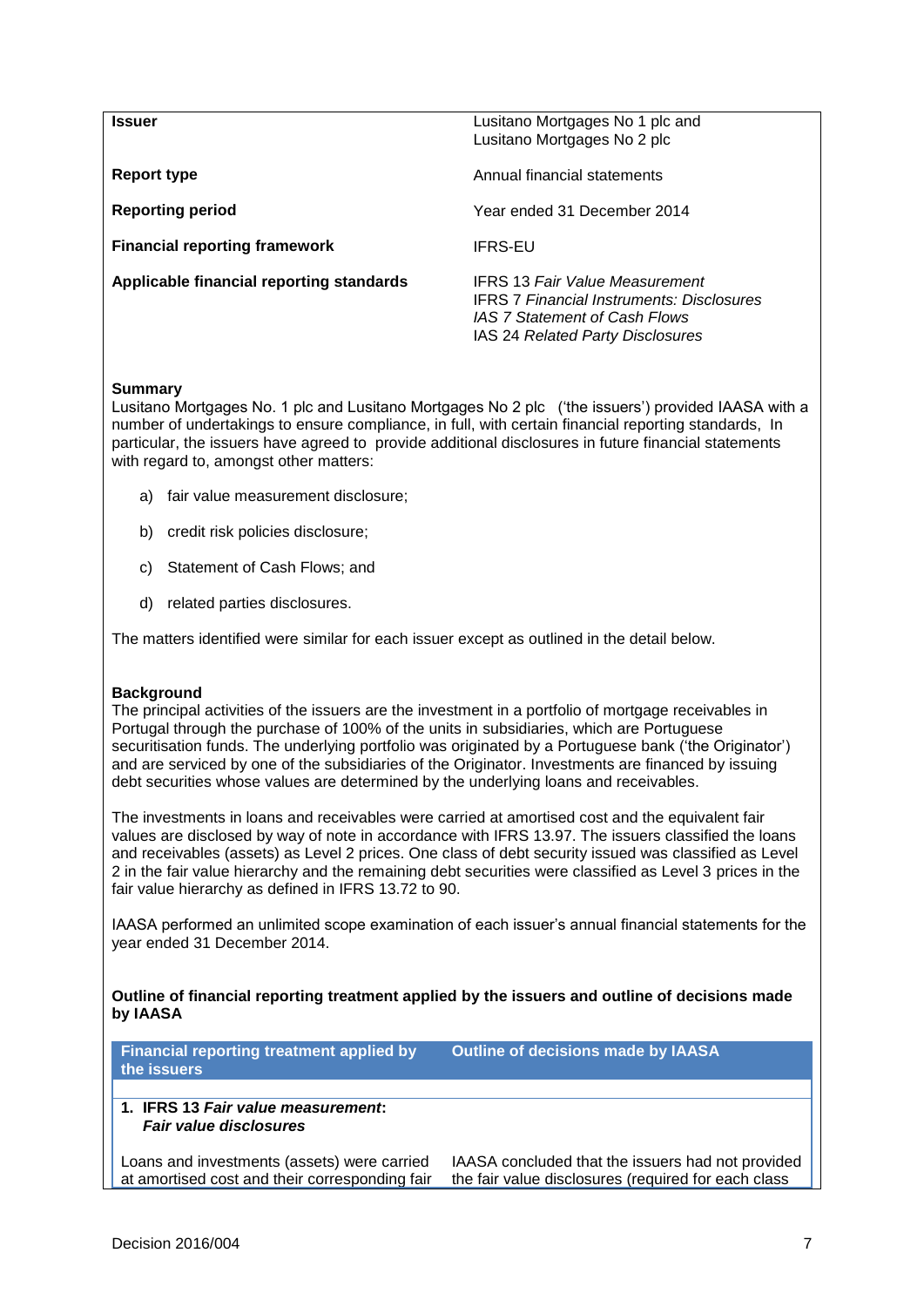<span id="page-8-0"></span>

| <b>Issuer</b>                            | Lusitano Mortgages No 1 plc and<br>Lusitano Mortgages No 2 plc                                                                                                        |
|------------------------------------------|-----------------------------------------------------------------------------------------------------------------------------------------------------------------------|
| Report type                              | Annual financial statements                                                                                                                                           |
| <b>Reporting period</b>                  | Year ended 31 December 2014                                                                                                                                           |
| <b>Financial reporting framework</b>     | <b>IFRS-EU</b>                                                                                                                                                        |
| Applicable financial reporting standards | <b>IFRS 13 Fair Value Measurement</b><br><b>IFRS 7 Financial Instruments: Disclosures</b><br>IAS 7 Statement of Cash Flows<br><b>IAS 24 Related Party Disclosures</b> |

Lusitano Mortgages No. 1 plc and Lusitano Mortgages No 2 plc ('the issuers') provided IAASA with a number of undertakings to ensure compliance, in full, with certain financial reporting standards, In particular, the issuers have agreed to provide additional disclosures in future financial statements with regard to, amongst other matters:

- a) fair value measurement disclosure;
- b) credit risk policies disclosure;
- c) Statement of Cash Flows; and
- d) related parties disclosures.

The matters identified were similar for each issuer except as outlined in the detail below.

#### **Background**

The principal activities of the issuers are the investment in a portfolio of mortgage receivables in Portugal through the purchase of 100% of the units in subsidiaries, which are Portuguese securitisation funds. The underlying portfolio was originated by a Portuguese bank ('the Originator') and are serviced by one of the subsidiaries of the Originator. Investments are financed by issuing debt securities whose values are determined by the underlying loans and receivables.

The investments in loans and receivables were carried at amortised cost and the equivalent fair values are disclosed by way of note in accordance with IFRS 13.97. The issuers classified the loans and receivables (assets) as Level 2 prices. One class of debt security issued was classified as Level 2 in the fair value hierarchy and the remaining debt securities were classified as Level 3 prices in the fair value hierarchy as defined in IFRS 13.72 to 90.

IAASA performed an unlimited scope examination of each issuer's annual financial statements for the year ended 31 December 2014.

## **Outline of financial reporting treatment applied by the issuers and outline of decisions made by IAASA**

| Financial reporting treatment applied by<br>the issuers                                       | <b>Outline of decisions made by IAASA</b>                                                                |
|-----------------------------------------------------------------------------------------------|----------------------------------------------------------------------------------------------------------|
| 1. IFRS 13 Fair value measurement:<br><b>Fair value disclosures</b>                           |                                                                                                          |
| Loans and investments (assets) were carried<br>at amortised cost and their corresponding fair | IAASA concluded that the issuers had not provided<br>the fair value disclosures (required for each class |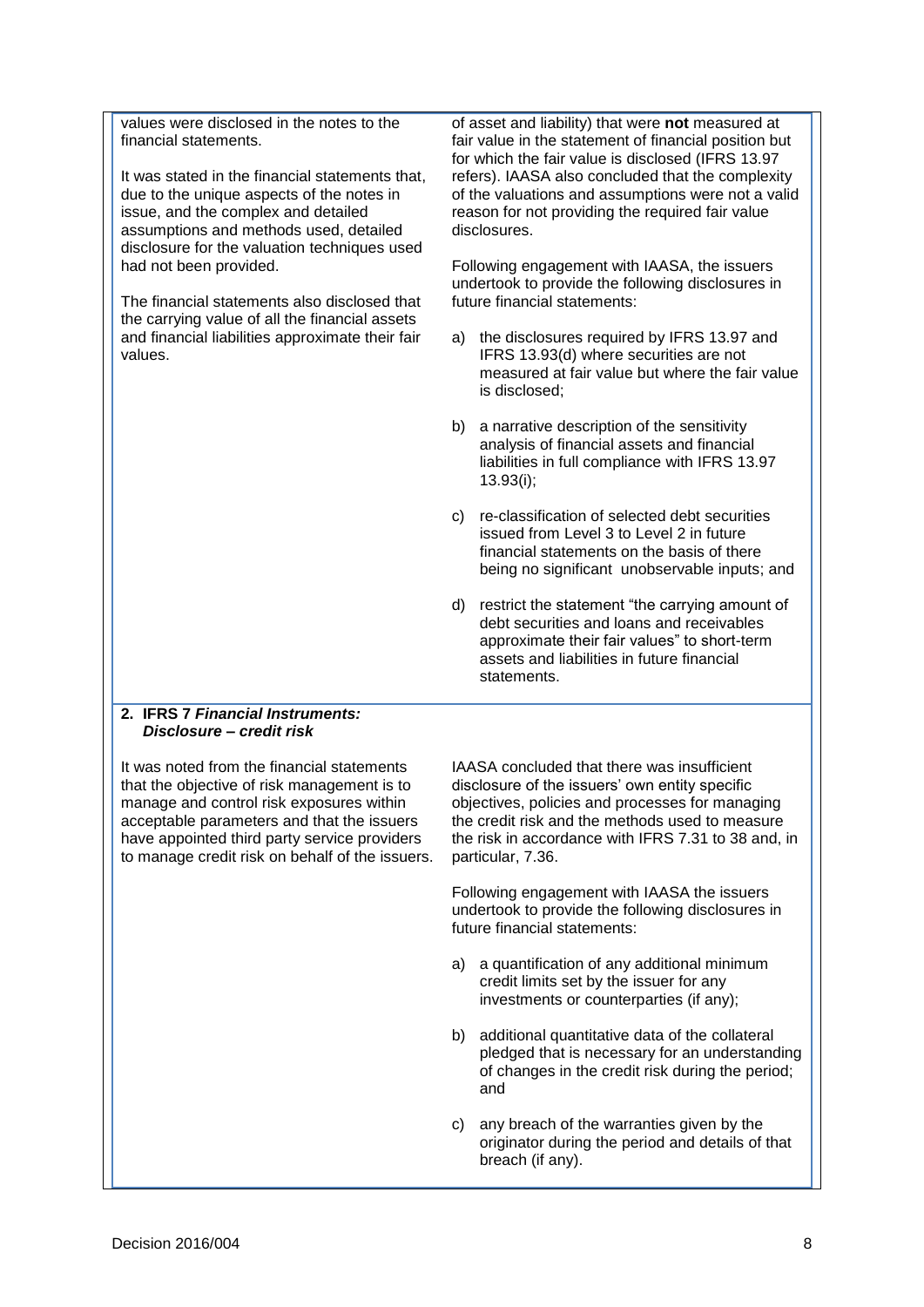values were disclosed in the notes to the financial statements.

It was stated in the financial statements that, due to the unique aspects of the notes in issue, and the complex and detailed assumptions and methods used, detailed disclosure for the valuation techniques used had not been provided.

The financial statements also disclosed that the carrying value of all the financial assets and financial liabilities approximate their fair values.

of asset and liability) that were **not** measured at fair value in the statement of financial position but for which the fair value is disclosed (IFRS 13.97 refers). IAASA also concluded that the complexity of the valuations and assumptions were not a valid reason for not providing the required fair value disclosures.

Following engagement with IAASA, the issuers undertook to provide the following disclosures in future financial statements:

- a) the disclosures required by IFRS 13.97 and IFRS 13.93(d) where securities are not measured at fair value but where the fair value is disclosed;
- b) a narrative description of the sensitivity analysis of financial assets and financial liabilities in full compliance with IFRS 13.97 13.93(i);
- c) re-classification of selected debt securities issued from Level 3 to Level 2 in future financial statements on the basis of there being no significant unobservable inputs; and
- d) restrict the statement "the carrying amount of debt securities and loans and receivables approximate their fair values" to short-term assets and liabilities in future financial statements.

## **2. IFRS 7** *Financial Instruments: Disclosure – credit risk*

It was noted from the financial statements that the objective of risk management is to manage and control risk exposures within acceptable parameters and that the issuers have appointed third party service providers to manage credit risk on behalf of the issuers.

IAASA concluded that there was insufficient disclosure of the issuers' own entity specific objectives, policies and processes for managing the credit risk and the methods used to measure the risk in accordance with IFRS 7.31 to 38 and, in particular, 7.36.

Following engagement with IAASA the issuers undertook to provide the following disclosures in future financial statements:

- a) a quantification of any additional minimum credit limits set by the issuer for any investments or counterparties (if any);
- b) additional quantitative data of the collateral pledged that is necessary for an understanding of changes in the credit risk during the period; and
- c) any breach of the warranties given by the originator during the period and details of that breach (if any).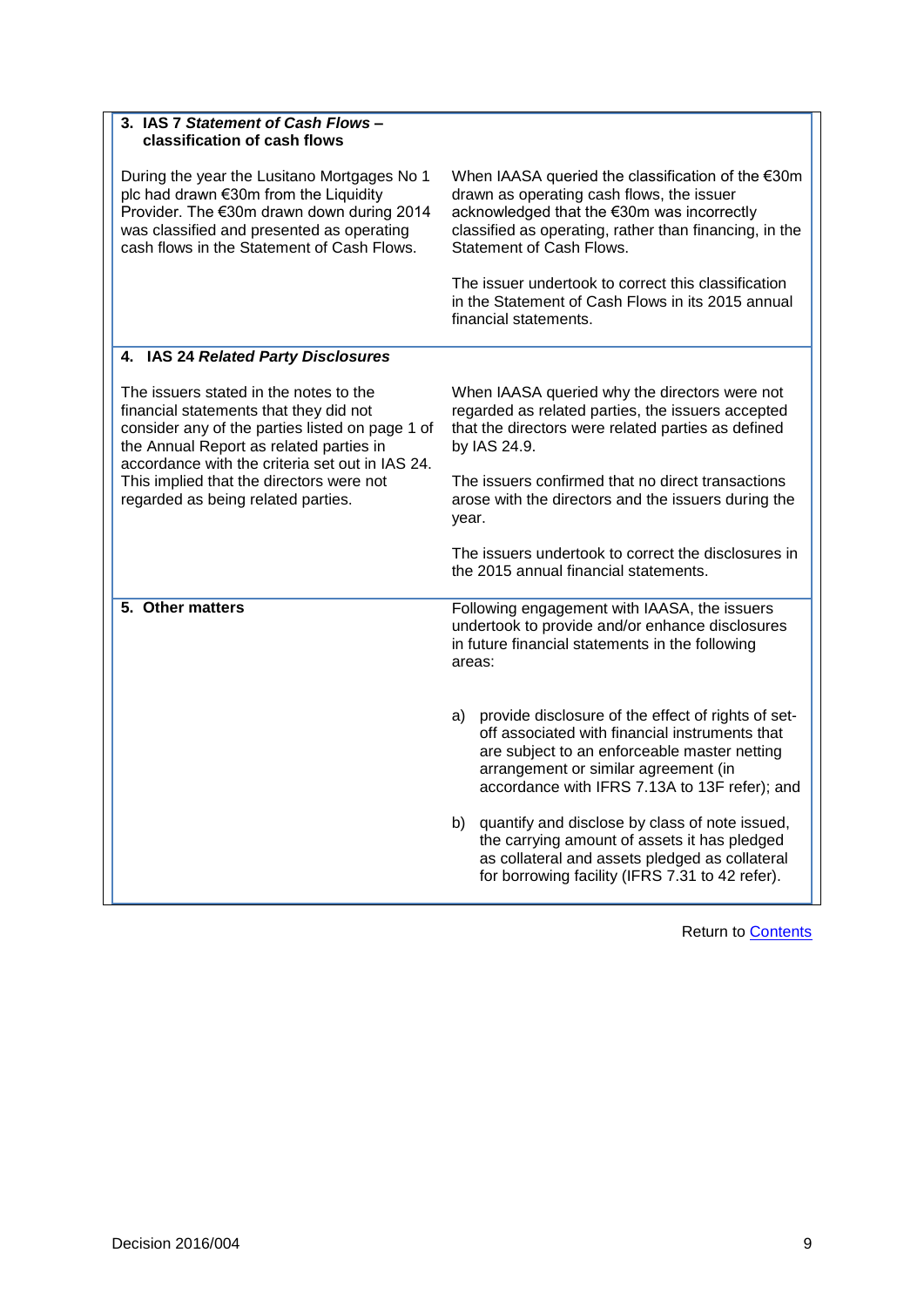| 3. IAS 7 Statement of Cash Flows-<br>classification of cash flows                                                                                                                                                                                                                                                   |                                                                                                                                                                                                                                                  |  |
|---------------------------------------------------------------------------------------------------------------------------------------------------------------------------------------------------------------------------------------------------------------------------------------------------------------------|--------------------------------------------------------------------------------------------------------------------------------------------------------------------------------------------------------------------------------------------------|--|
| During the year the Lusitano Mortgages No 1<br>plc had drawn €30m from the Liquidity<br>Provider. The €30m drawn down during 2014<br>was classified and presented as operating<br>cash flows in the Statement of Cash Flows.                                                                                        | When IAASA queried the classification of the €30m<br>drawn as operating cash flows, the issuer<br>acknowledged that the €30m was incorrectly<br>classified as operating, rather than financing, in the<br>Statement of Cash Flows.               |  |
|                                                                                                                                                                                                                                                                                                                     | The issuer undertook to correct this classification<br>in the Statement of Cash Flows in its 2015 annual<br>financial statements.                                                                                                                |  |
| 4. IAS 24 Related Party Disclosures                                                                                                                                                                                                                                                                                 |                                                                                                                                                                                                                                                  |  |
| The issuers stated in the notes to the<br>financial statements that they did not<br>consider any of the parties listed on page 1 of<br>the Annual Report as related parties in<br>accordance with the criteria set out in IAS 24.<br>This implied that the directors were not<br>regarded as being related parties. | When IAASA queried why the directors were not<br>regarded as related parties, the issuers accepted<br>that the directors were related parties as defined<br>by IAS 24.9.                                                                         |  |
|                                                                                                                                                                                                                                                                                                                     | The issuers confirmed that no direct transactions<br>arose with the directors and the issuers during the<br>year.                                                                                                                                |  |
|                                                                                                                                                                                                                                                                                                                     | The issuers undertook to correct the disclosures in<br>the 2015 annual financial statements.                                                                                                                                                     |  |
| 5. Other matters                                                                                                                                                                                                                                                                                                    | Following engagement with IAASA, the issuers<br>undertook to provide and/or enhance disclosures<br>in future financial statements in the following<br>areas:                                                                                     |  |
|                                                                                                                                                                                                                                                                                                                     | a) provide disclosure of the effect of rights of set-<br>off associated with financial instruments that<br>are subject to an enforceable master netting<br>arrangement or similar agreement (in<br>accordance with IFRS 7.13A to 13F refer); and |  |
|                                                                                                                                                                                                                                                                                                                     | b) quantify and disclose by class of note issued,<br>the carrying amount of assets it has pledged<br>as collateral and assets pledged as collateral<br>for borrowing facility (IFRS 7.31 to 42 refer).                                           |  |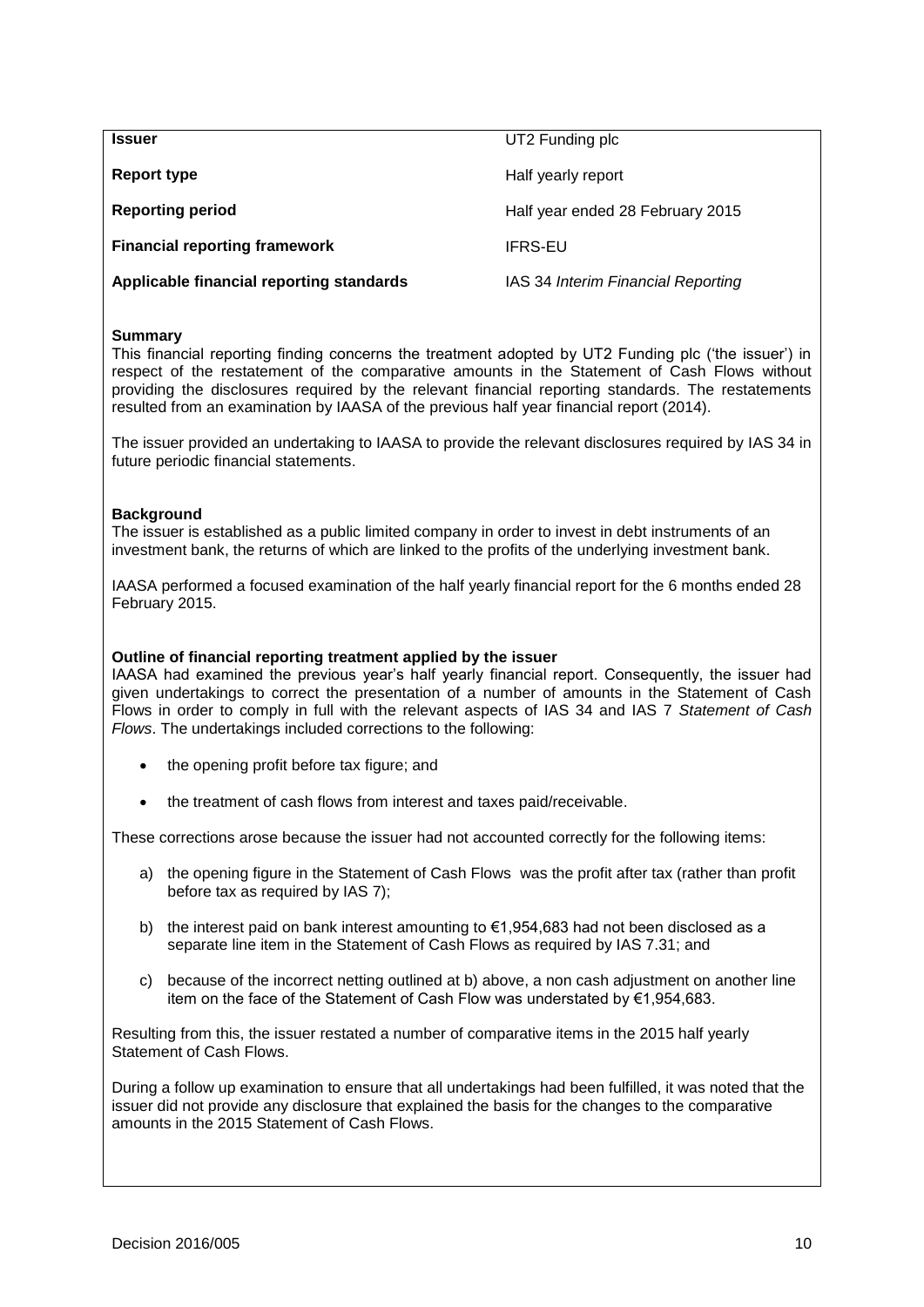<span id="page-11-0"></span>

| <b>Issuer</b>                            | UT2 Funding plc                    |
|------------------------------------------|------------------------------------|
| Report type                              | Half yearly report                 |
| <b>Reporting period</b>                  | Half year ended 28 February 2015   |
| <b>Financial reporting framework</b>     | <b>IFRS-EU</b>                     |
| Applicable financial reporting standards | IAS 34 Interim Financial Reporting |

This financial reporting finding concerns the treatment adopted by UT2 Funding plc ('the issuer') in respect of the restatement of the comparative amounts in the Statement of Cash Flows without providing the disclosures required by the relevant financial reporting standards. The restatements resulted from an examination by IAASA of the previous half year financial report (2014).

The issuer provided an undertaking to IAASA to provide the relevant disclosures required by IAS 34 in future periodic financial statements.

## **Background**

The issuer is established as a public limited company in order to invest in debt instruments of an investment bank, the returns of which are linked to the profits of the underlying investment bank.

IAASA performed a focused examination of the half yearly financial report for the 6 months ended 28 February 2015.

### **Outline of financial reporting treatment applied by the issuer**

IAASA had examined the previous year's half yearly financial report. Consequently, the issuer had given undertakings to correct the presentation of a number of amounts in the Statement of Cash Flows in order to comply in full with the relevant aspects of IAS 34 and IAS 7 *Statement of Cash Flows*. The undertakings included corrections to the following:

- the opening profit before tax figure; and
- the treatment of cash flows from interest and taxes paid/receivable.

These corrections arose because the issuer had not accounted correctly for the following items:

- a) the opening figure in the Statement of Cash Flows was the profit after tax (rather than profit before tax as required by IAS 7);
- b) the interest paid on bank interest amounting to  $\epsilon$ 1,954,683 had not been disclosed as a separate line item in the Statement of Cash Flows as required by IAS 7.31; and
- c) because of the incorrect netting outlined at b) above, a non cash adjustment on another line item on the face of the Statement of Cash Flow was understated by €1,954,683.

Resulting from this, the issuer restated a number of comparative items in the 2015 half yearly Statement of Cash Flows.

During a follow up examination to ensure that all undertakings had been fulfilled, it was noted that the issuer did not provide any disclosure that explained the basis for the changes to the comparative amounts in the 2015 Statement of Cash Flows.